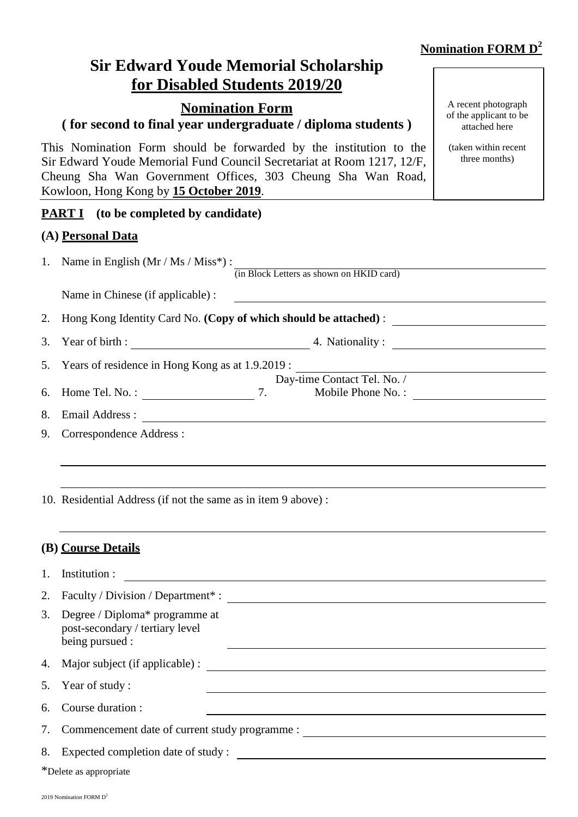# **Nomination FORM D 2**

attached here

(taken within recent three months)

A recent photograph of the applicant to be

# **Sir Edward Youde Memorial Scholarship for Disabled Students 2019/20**

# **Nomination Form**

# **( for second to final year undergraduate / diploma students )**

This Nomination Form should be forwarded by the institution to the Sir Edward Youde Memorial Fund Council Secretariat at Room 1217, 12/F, Cheung Sha Wan Government Offices, 303 Cheung Sha Wan Road, Kowloon, Hong Kong by **15 October 2019**.

#### **PART I** (to be completed by candidate)

#### **(A) Personal Data**

|    | 1. Name in English $(Mr / Ms / Miss^*)$ :                          |    | (in Block Letters as shown on HKID card) |  |
|----|--------------------------------------------------------------------|----|------------------------------------------|--|
|    | Name in Chinese (if applicable) :                                  |    |                                          |  |
|    | 2. Hong Kong Identity Card No. (Copy of which should be attached): |    |                                          |  |
|    | 3. Year of birth :                                                 |    | 4. Nationality :                         |  |
|    | 5. Years of residence in Hong Kong as at 1.9.2019 :                |    |                                          |  |
|    | Day-time Contact Tel. No. /                                        |    |                                          |  |
|    | 6. Home Tel. No.:                                                  | 7. | Mobile Phone No.:                        |  |
| 8. | Email Address :                                                    |    |                                          |  |
| 9. | Correspondence Address :                                           |    |                                          |  |
|    |                                                                    |    |                                          |  |

10. Residential Address (if not the same as in item 9 above) :

#### **(B) Course Details**

| 1. | Institution :                                                                        |  |
|----|--------------------------------------------------------------------------------------|--|
| 2. | Faculty / Division / Department* :                                                   |  |
| 3. | Degree / Diploma* programme at<br>post-secondary / tertiary level<br>being pursued : |  |
|    | 4. Major subject (if applicable) :                                                   |  |
|    | 5. Year of study:                                                                    |  |
| 6. | Course duration :                                                                    |  |
|    | 7. Commencement date of current study programme :                                    |  |
|    | 8. Expected completion date of study :                                               |  |
|    | *Delete as appropriate                                                               |  |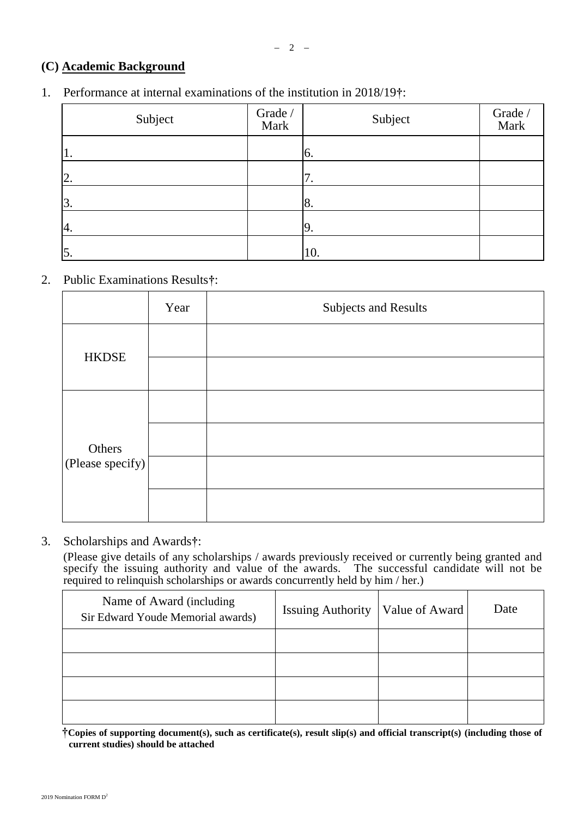# **(C) Academic Background**

## 1. Performance at internal examinations of the institution in 2018/19**†**:

| Subject          | Grade /<br>Mark | Subject    | Grade /<br>Mark |
|------------------|-----------------|------------|-----------------|
| $\overline{1}$ . |                 | 6.         |                 |
| 2.               |                 | $\prime$ . |                 |
| 3.               |                 | 8.         |                 |
| 4.               |                 | 19.        |                 |
| $\vert 5.$       |                 | 10.        |                 |

## 2. Public Examinations Results**†**:

|                  | Year | Subjects and Results |
|------------------|------|----------------------|
| <b>HKDSE</b>     |      |                      |
|                  |      |                      |
|                  |      |                      |
| Others           |      |                      |
| (Please specify) |      |                      |
|                  |      |                      |

## 3. Scholarships and Awards**†**:

(Please give details of any scholarships / awards previously received or currently being granted and specify the issuing authority and value of the awards. The successful candidate will not be required to relinquish scholarships or awards concurrently held by him / her.)

| Name of Award (including<br>Sir Edward Youde Memorial awards) | <b>Issuing Authority</b> | Value of Award | Date |
|---------------------------------------------------------------|--------------------------|----------------|------|
|                                                               |                          |                |      |
|                                                               |                          |                |      |
|                                                               |                          |                |      |
|                                                               |                          |                |      |

**†Copies of supporting document(s), such as certificate(s), result slip(s) and official transcript(s) (including those of current studies) should be attached**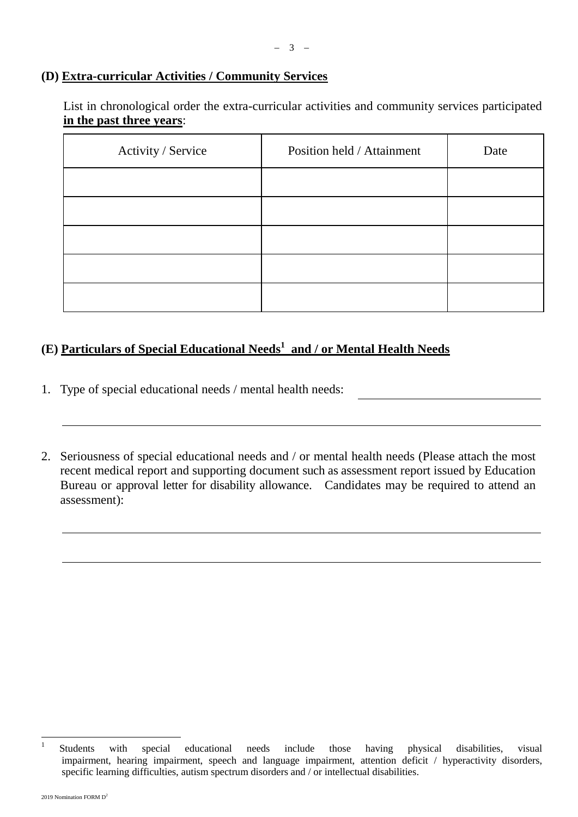## **(D) Extra-curricular Activities / Community Services**

List in chronological order the extra-curricular activities and community services participated **in the past three years**:

| Activity / Service | Position held / Attainment | Date |
|--------------------|----------------------------|------|
|                    |                            |      |
|                    |                            |      |
|                    |                            |      |
|                    |                            |      |
|                    |                            |      |

# **(E) Particulars of Special Educational Needs<sup>1</sup> and / or Mental Health Needs**

- 1. Type of special educational needs / mental health needs:
- 2. Seriousness of special educational needs and / or mental health needs (Please attach the most recent medical report and supporting document such as assessment report issued by Education Bureau or approval letter for disability allowance. Candidates may be required to attend an assessment):

 $\frac{1}{1}$ Students with special educational needs include those having physical disabilities, visual impairment, hearing impairment, speech and language impairment, attention deficit / hyperactivity disorders, specific learning difficulties, autism spectrum disorders and / or intellectual disabilities.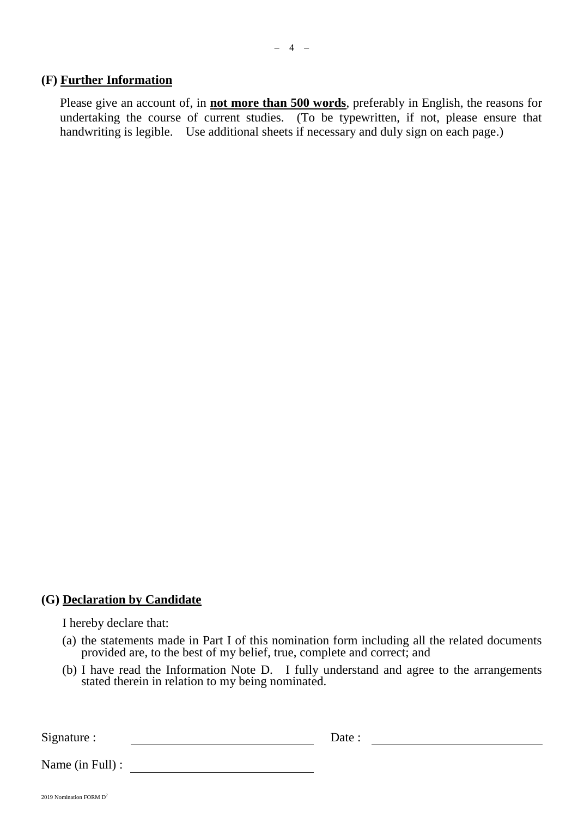#### **(F) Further Information**

Please give an account of, in **not more than 500 words**, preferably in English, the reasons for undertaking the course of current studies. (To be typewritten, if not, please ensure that handwriting is legible. Use additional sheets if necessary and duly sign on each page.)

#### **(G) Declaration by Candidate**

I hereby declare that:

- (a) the statements made in Part I of this nomination form including all the related documents provided are, to the best of my belief, true, complete and correct; and
- (b) I have read the Information Note D. I fully understand and agree to the arrangements stated therein in relation to my being nominated.

Signature : Date :

Name (in Full) :